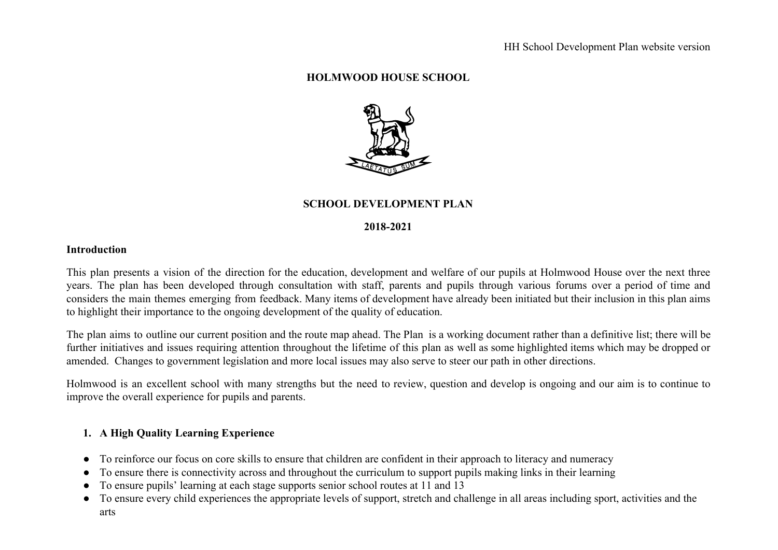### **HOLMWOOD HOUSE SCHOOL**



## **SCHOOL DEVELOPMENT PLAN**

#### **2018-2021**

#### **Introduction**

This plan presents a vision of the direction for the education, development and welfare of our pupils at Holmwood House over the next three years. The plan has been developed through consultation with staff, parents and pupils through various forums over a period of time and considers the main themes emerging from feedback. Many items of development have already been initiated but their inclusion in this plan aims to highlight their importance to the ongoing development of the quality of education.

The plan aims to outline our current position and the route map ahead. The Plan is a working document rather than a definitive list; there will be further initiatives and issues requiring attention throughout the lifetime of this plan as well as some highlighted items which may be dropped or amended. Changes to government legislation and more local issues may also serve to steer our path in other directions.

Holmwood is an excellent school with many strengths but the need to review, question and develop is ongoing and our aim is to continue to improve the overall experience for pupils and parents.

# **1. A High Quality Learning Experience**

- To reinforce our focus on core skills to ensure that children are confident in their approach to literacy and numeracy
- To ensure there is connectivity across and throughout the curriculum to support pupils making links in their learning
- To ensure pupils' learning at each stage supports senior school routes at 11 and 13
- To ensure every child experiences the appropriate levels of support, stretch and challenge in all areas including sport, activities and the arts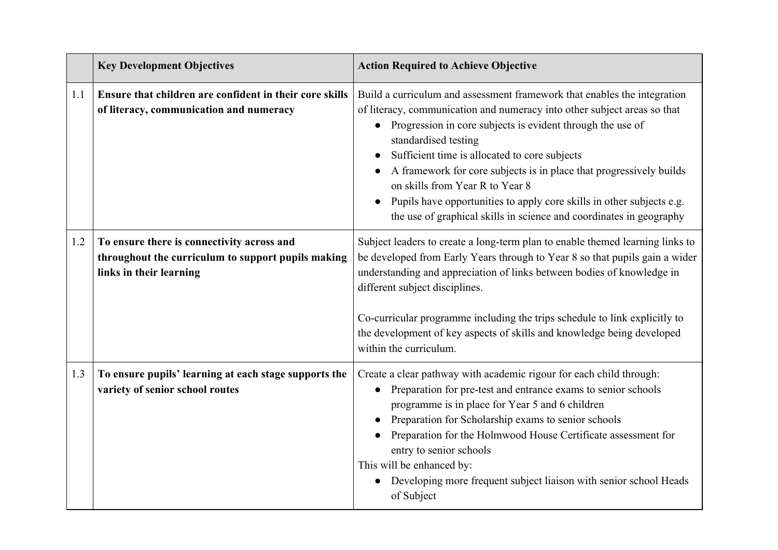|     | <b>Key Development Objectives</b>                                                                                           | <b>Action Required to Achieve Objective</b>                                                                                                                                                                                                                                                                                                                                                                                                                                                                                                             |
|-----|-----------------------------------------------------------------------------------------------------------------------------|---------------------------------------------------------------------------------------------------------------------------------------------------------------------------------------------------------------------------------------------------------------------------------------------------------------------------------------------------------------------------------------------------------------------------------------------------------------------------------------------------------------------------------------------------------|
| 1.1 | Ensure that children are confident in their core skills<br>of literacy, communication and numeracy                          | Build a curriculum and assessment framework that enables the integration<br>of literacy, communication and numeracy into other subject areas so that<br>• Progression in core subjects is evident through the use of<br>standardised testing<br>Sufficient time is allocated to core subjects<br>A framework for core subjects is in place that progressively builds<br>on skills from Year R to Year 8<br>Pupils have opportunities to apply core skills in other subjects e.g.<br>the use of graphical skills in science and coordinates in geography |
| 1.2 | To ensure there is connectivity across and<br>throughout the curriculum to support pupils making<br>links in their learning | Subject leaders to create a long-term plan to enable themed learning links to<br>be developed from Early Years through to Year 8 so that pupils gain a wider<br>understanding and appreciation of links between bodies of knowledge in<br>different subject disciplines.<br>Co-curricular programme including the trips schedule to link explicitly to<br>the development of key aspects of skills and knowledge being developed<br>within the curriculum.                                                                                              |
| 1.3 | To ensure pupils' learning at each stage supports the<br>variety of senior school routes                                    | Create a clear pathway with academic rigour for each child through:<br>Preparation for pre-test and entrance exams to senior schools<br>programme is in place for Year 5 and 6 children<br>Preparation for Scholarship exams to senior schools<br>Preparation for the Holmwood House Certificate assessment for<br>entry to senior schools<br>This will be enhanced by:<br>Developing more frequent subject liaison with senior school Heads<br>of Subject                                                                                              |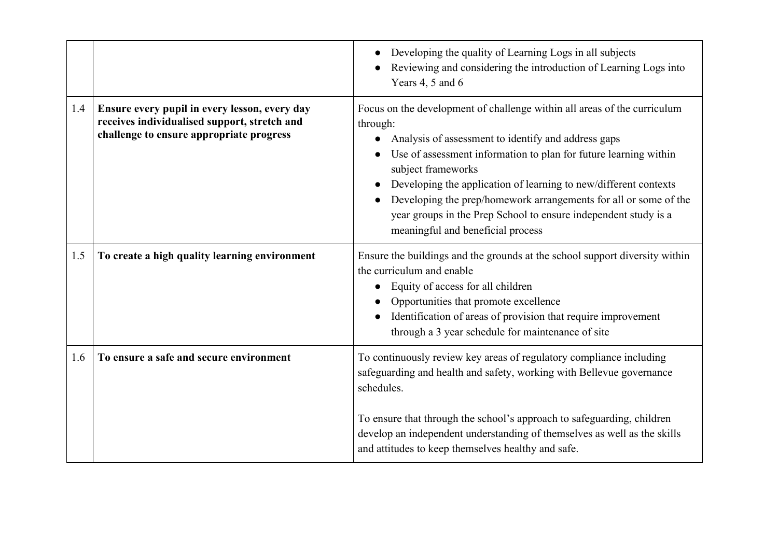|     |                                                                                                                                           | Developing the quality of Learning Logs in all subjects<br>Reviewing and considering the introduction of Learning Logs into<br>Years 4, 5 and 6                                                                                                                                                                                                                                                                                                                                                    |
|-----|-------------------------------------------------------------------------------------------------------------------------------------------|----------------------------------------------------------------------------------------------------------------------------------------------------------------------------------------------------------------------------------------------------------------------------------------------------------------------------------------------------------------------------------------------------------------------------------------------------------------------------------------------------|
| 1.4 | Ensure every pupil in every lesson, every day<br>receives individualised support, stretch and<br>challenge to ensure appropriate progress | Focus on the development of challenge within all areas of the curriculum<br>through:<br>Analysis of assessment to identify and address gaps<br>$\bullet$<br>Use of assessment information to plan for future learning within<br>subject frameworks<br>Developing the application of learning to new/different contexts<br>Developing the prep/homework arrangements for all or some of the<br>year groups in the Prep School to ensure independent study is a<br>meaningful and beneficial process |
| 1.5 | To create a high quality learning environment                                                                                             | Ensure the buildings and the grounds at the school support diversity within<br>the curriculum and enable<br>Equity of access for all children<br>Opportunities that promote excellence<br>Identification of areas of provision that require improvement<br>through a 3 year schedule for maintenance of site                                                                                                                                                                                       |
| 1.6 | To ensure a safe and secure environment                                                                                                   | To continuously review key areas of regulatory compliance including<br>safeguarding and health and safety, working with Bellevue governance<br>schedules.                                                                                                                                                                                                                                                                                                                                          |
|     |                                                                                                                                           | To ensure that through the school's approach to safeguarding, children<br>develop an independent understanding of themselves as well as the skills<br>and attitudes to keep themselves healthy and safe.                                                                                                                                                                                                                                                                                           |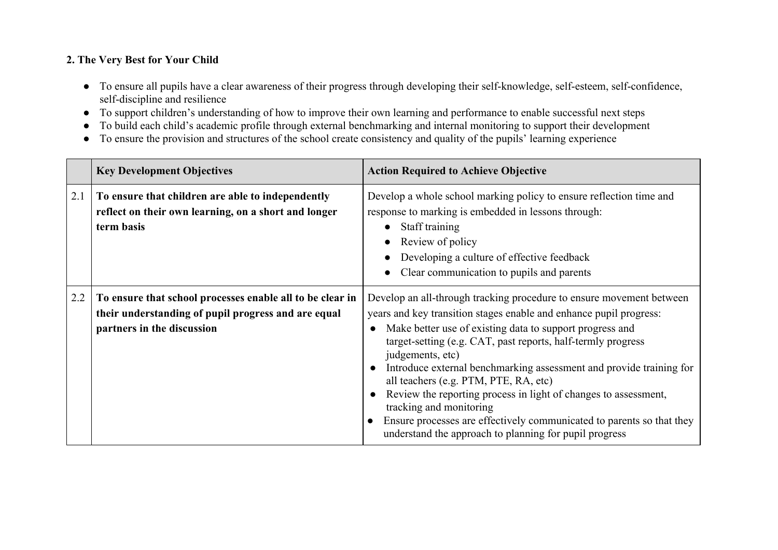# **2. The Very Best for Your Child**

- To ensure all pupils have a clear awareness of their progress through developing their self-knowledge, self-esteem, self-confidence, self-discipline and resilience
- To support children's understanding of how to improve their own learning and performance to enable successful next steps
- To build each child's academic profile through external benchmarking and internal monitoring to support their development
- To ensure the provision and structures of the school create consistency and quality of the pupils' learning experience

|     | <b>Key Development Objectives</b>                                                                                                              | <b>Action Required to Achieve Objective</b>                                                                                                                                                                                                                                                                                                                                                                                                                                                                                                                                                                                                 |
|-----|------------------------------------------------------------------------------------------------------------------------------------------------|---------------------------------------------------------------------------------------------------------------------------------------------------------------------------------------------------------------------------------------------------------------------------------------------------------------------------------------------------------------------------------------------------------------------------------------------------------------------------------------------------------------------------------------------------------------------------------------------------------------------------------------------|
| 2.1 | To ensure that children are able to independently<br>reflect on their own learning, on a short and longer<br>term basis                        | Develop a whole school marking policy to ensure reflection time and<br>response to marking is embedded in lessons through:<br>Staff training<br>Review of policy<br>Developing a culture of effective feedback<br>Clear communication to pupils and parents                                                                                                                                                                                                                                                                                                                                                                                 |
| 2.2 | To ensure that school processes enable all to be clear in<br>their understanding of pupil progress and are equal<br>partners in the discussion | Develop an all-through tracking procedure to ensure movement between<br>years and key transition stages enable and enhance pupil progress:<br>Make better use of existing data to support progress and<br>target-setting (e.g. CAT, past reports, half-termly progress<br>judgements, etc)<br>Introduce external benchmarking assessment and provide training for<br>all teachers (e.g. PTM, PTE, RA, etc)<br>Review the reporting process in light of changes to assessment,<br>tracking and monitoring<br>Ensure processes are effectively communicated to parents so that they<br>understand the approach to planning for pupil progress |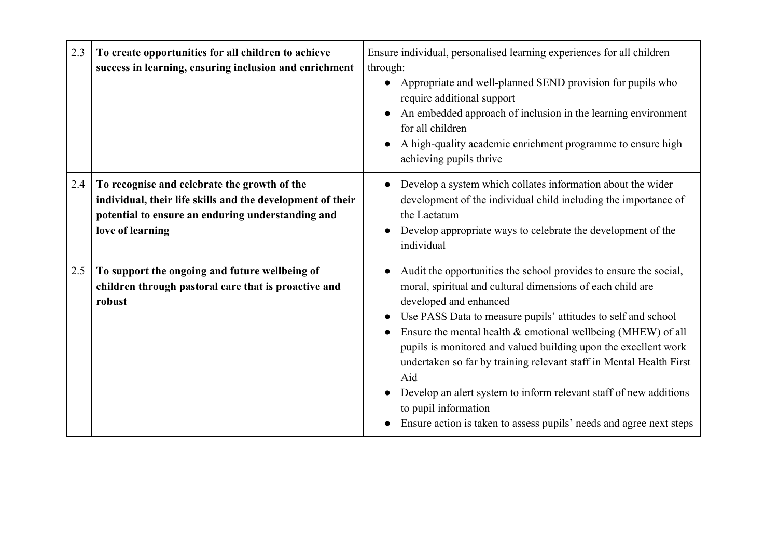| 2.3 | To create opportunities for all children to achieve<br>success in learning, ensuring inclusion and enrichment                                                                       | Ensure individual, personalised learning experiences for all children<br>through:<br>Appropriate and well-planned SEND provision for pupils who<br>require additional support<br>An embedded approach of inclusion in the learning environment<br>for all children<br>A high-quality academic enrichment programme to ensure high<br>achieving pupils thrive                                                                                                                                                                                                                                                       |
|-----|-------------------------------------------------------------------------------------------------------------------------------------------------------------------------------------|--------------------------------------------------------------------------------------------------------------------------------------------------------------------------------------------------------------------------------------------------------------------------------------------------------------------------------------------------------------------------------------------------------------------------------------------------------------------------------------------------------------------------------------------------------------------------------------------------------------------|
| 2.4 | To recognise and celebrate the growth of the<br>individual, their life skills and the development of their<br>potential to ensure an enduring understanding and<br>love of learning | Develop a system which collates information about the wider<br>development of the individual child including the importance of<br>the Laetatum<br>Develop appropriate ways to celebrate the development of the<br>individual                                                                                                                                                                                                                                                                                                                                                                                       |
| 2.5 | To support the ongoing and future wellbeing of<br>children through pastoral care that is proactive and<br>robust                                                                    | Audit the opportunities the school provides to ensure the social,<br>moral, spiritual and cultural dimensions of each child are<br>developed and enhanced<br>Use PASS Data to measure pupils' attitudes to self and school<br>Ensure the mental health $\&$ emotional wellbeing (MHEW) of all<br>pupils is monitored and valued building upon the excellent work<br>undertaken so far by training relevant staff in Mental Health First<br>Aid<br>Develop an alert system to inform relevant staff of new additions<br>to pupil information<br>Ensure action is taken to assess pupils' needs and agree next steps |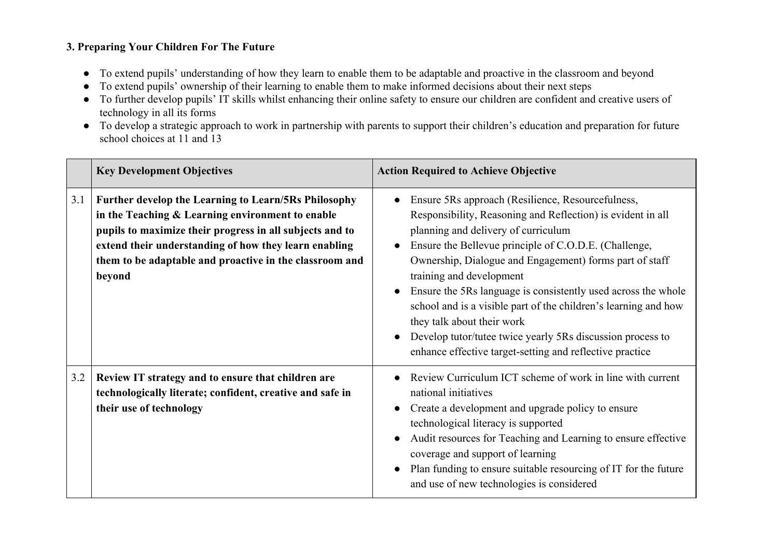# **3. Preparing Your Children For The Future**

- To extend pupils' understanding of how they learn to enable them to be adaptable and proactive in the classroom and beyond
- To extend pupils' ownership of their learning to enable them to make informed decisions about their next steps
- To further develop pupils' IT skills whilst enhancing their online safety to ensure our children are confident and creative users of technology in all its forms
- To develop a strategic approach to work in partnership with parents to support their children's education and preparation for future school choices at 11 and 13

|     | <b>Key Development Objectives</b>                                                                                                                                                                                                                                                                  | <b>Action Required to Achieve Objective</b>                                                                                                                                                                                                                                                                                                                                                                                                                                                                                                                                                         |
|-----|----------------------------------------------------------------------------------------------------------------------------------------------------------------------------------------------------------------------------------------------------------------------------------------------------|-----------------------------------------------------------------------------------------------------------------------------------------------------------------------------------------------------------------------------------------------------------------------------------------------------------------------------------------------------------------------------------------------------------------------------------------------------------------------------------------------------------------------------------------------------------------------------------------------------|
| 3.1 | Further develop the Learning to Learn/5Rs Philosophy<br>in the Teaching & Learning environment to enable<br>pupils to maximize their progress in all subjects and to<br>extend their understanding of how they learn enabling<br>them to be adaptable and proactive in the classroom and<br>beyond | Ensure 5Rs approach (Resilience, Resourcefulness,<br>Responsibility, Reasoning and Reflection) is evident in all<br>planning and delivery of curriculum<br>Ensure the Bellevue principle of C.O.D.E. (Challenge,<br>Ownership, Dialogue and Engagement) forms part of staff<br>training and development<br>Ensure the 5Rs language is consistently used across the whole<br>school and is a visible part of the children's learning and how<br>they talk about their work<br>Develop tutor/tutee twice yearly 5Rs discussion process to<br>enhance effective target-setting and reflective practice |
| 3.2 | Review IT strategy and to ensure that children are<br>technologically literate; confident, creative and safe in<br>their use of technology                                                                                                                                                         | Review Curriculum ICT scheme of work in line with current<br>national initiatives<br>Create a development and upgrade policy to ensure<br>technological literacy is supported<br>Audit resources for Teaching and Learning to ensure effective<br>coverage and support of learning<br>Plan funding to ensure suitable resourcing of IT for the future<br>and use of new technologies is considered                                                                                                                                                                                                  |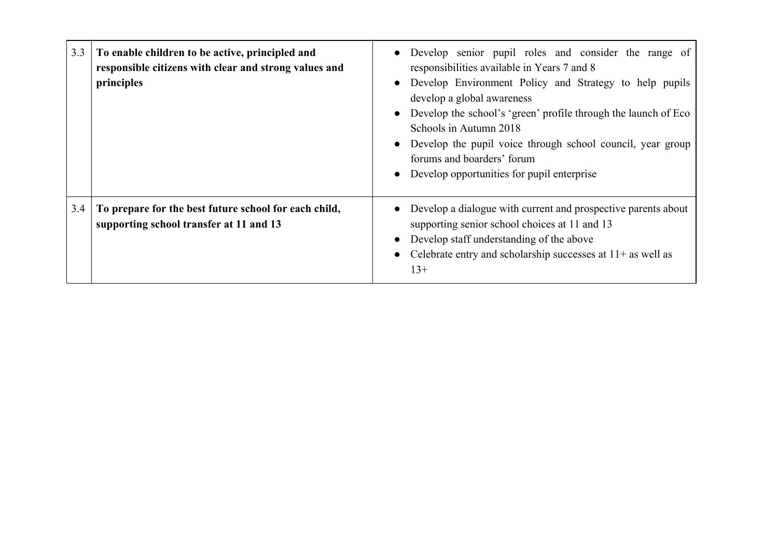| 3.3 | To enable children to be active, principled and<br>responsible citizens with clear and strong values and<br>principles | • Develop senior pupil roles and consider the range of<br>responsibilities available in Years 7 and 8<br>Develop Environment Policy and Strategy to help pupils<br>$\bullet$<br>develop a global awareness<br>• Develop the school's 'green' profile through the launch of Eco<br>Schools in Autumn 2018<br>• Develop the pupil voice through school council, year group<br>forums and boarders' forum<br>• Develop opportunities for pupil enterprise |
|-----|------------------------------------------------------------------------------------------------------------------------|--------------------------------------------------------------------------------------------------------------------------------------------------------------------------------------------------------------------------------------------------------------------------------------------------------------------------------------------------------------------------------------------------------------------------------------------------------|
| 3.4 | To prepare for the best future school for each child,<br>supporting school transfer at 11 and 13                       | Develop a dialogue with current and prospective parents about<br>supporting senior school choices at 11 and 13<br>Develop staff understanding of the above<br>$\bullet$<br>• Celebrate entry and scholarship successes at $11+$ as well as<br>$13+$                                                                                                                                                                                                    |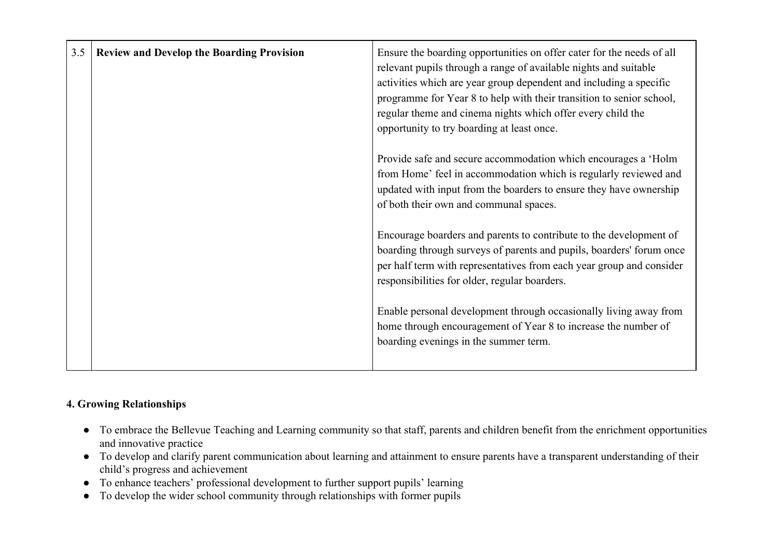| 3.5 | <b>Review and Develop the Boarding Provision</b> | Ensure the boarding opportunities on offer cater for the needs of all<br>relevant pupils through a range of available nights and suitable<br>activities which are year group dependent and including a specific<br>programme for Year 8 to help with their transition to senior school,<br>regular theme and cinema nights which offer every child the<br>opportunity to try boarding at least once. |
|-----|--------------------------------------------------|------------------------------------------------------------------------------------------------------------------------------------------------------------------------------------------------------------------------------------------------------------------------------------------------------------------------------------------------------------------------------------------------------|
|     |                                                  | Provide safe and secure accommodation which encourages a 'Holm<br>from Home' feel in accommodation which is regularly reviewed and<br>updated with input from the boarders to ensure they have ownership<br>of both their own and communal spaces.                                                                                                                                                   |
|     |                                                  | Encourage boarders and parents to contribute to the development of<br>boarding through surveys of parents and pupils, boarders' forum once<br>per half term with representatives from each year group and consider<br>responsibilities for older, regular boarders.                                                                                                                                  |
|     |                                                  | Enable personal development through occasionally living away from<br>home through encouragement of Year 8 to increase the number of<br>boarding evenings in the summer term.                                                                                                                                                                                                                         |

# **4. Growing Relationships**

- To embrace the Bellevue Teaching and Learning community so that staff, parents and children benefit from the enrichment opportunities and innovative practice
- To develop and clarify parent communication about learning and attainment to ensure parents have a transparent understanding of their child's progress and achievement
- To enhance teachers' professional development to further support pupils' learning
- To develop the wider school community through relationships with former pupils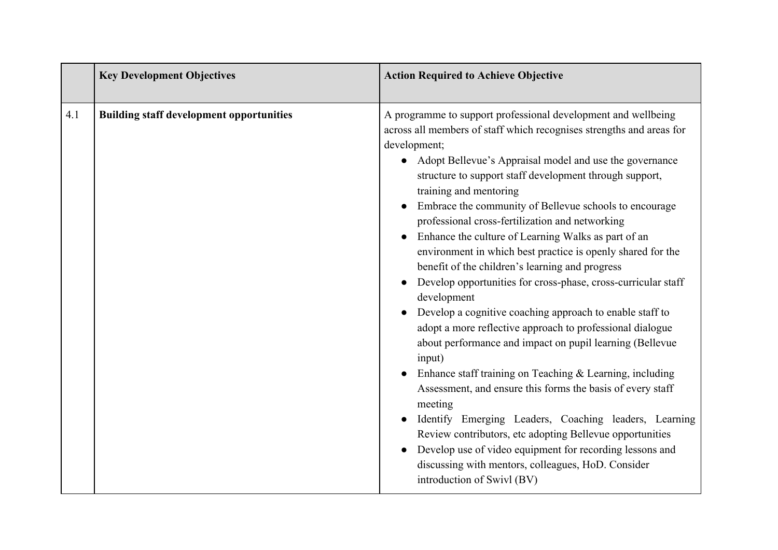|     | <b>Key Development Objectives</b>               | <b>Action Required to Achieve Objective</b>                                                                                                                                                                                                                                                                                                                                                                                                                                                                                                                                                                                                                                                                                                                                                                                                                                                                                                                                                                                                                                                                                                                                                                                                                                          |
|-----|-------------------------------------------------|--------------------------------------------------------------------------------------------------------------------------------------------------------------------------------------------------------------------------------------------------------------------------------------------------------------------------------------------------------------------------------------------------------------------------------------------------------------------------------------------------------------------------------------------------------------------------------------------------------------------------------------------------------------------------------------------------------------------------------------------------------------------------------------------------------------------------------------------------------------------------------------------------------------------------------------------------------------------------------------------------------------------------------------------------------------------------------------------------------------------------------------------------------------------------------------------------------------------------------------------------------------------------------------|
| 4.1 | <b>Building staff development opportunities</b> | A programme to support professional development and wellbeing<br>across all members of staff which recognises strengths and areas for<br>development;<br>Adopt Bellevue's Appraisal model and use the governance<br>structure to support staff development through support,<br>training and mentoring<br>Embrace the community of Bellevue schools to encourage<br>professional cross-fertilization and networking<br>Enhance the culture of Learning Walks as part of an<br>environment in which best practice is openly shared for the<br>benefit of the children's learning and progress<br>Develop opportunities for cross-phase, cross-curricular staff<br>development<br>Develop a cognitive coaching approach to enable staff to<br>adopt a more reflective approach to professional dialogue<br>about performance and impact on pupil learning (Bellevue<br>input)<br>Enhance staff training on Teaching & Learning, including<br>Assessment, and ensure this forms the basis of every staff<br>meeting<br>Identify Emerging Leaders, Coaching leaders, Learning<br>Review contributors, etc adopting Bellevue opportunities<br>Develop use of video equipment for recording lessons and<br>discussing with mentors, colleagues, HoD. Consider<br>introduction of Swivl (BV) |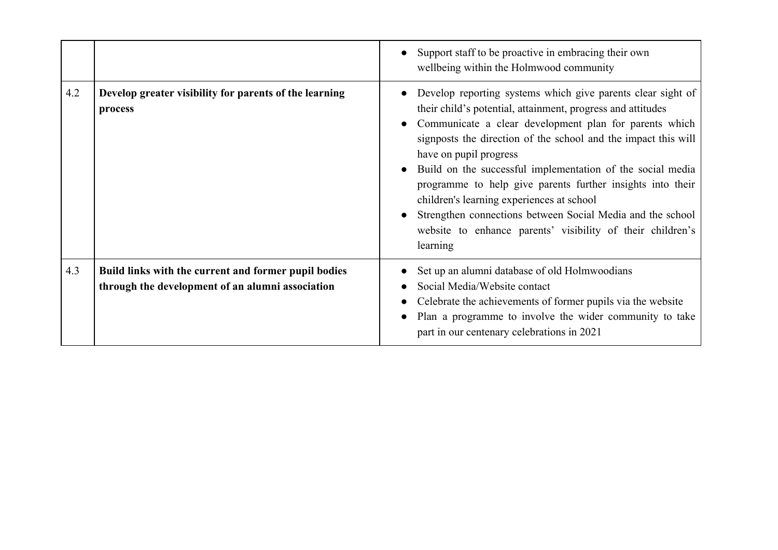|     |                                                                                                          | Support staff to be proactive in embracing their own<br>wellbeing within the Holmwood community                                                                                                                                                                                                                                                                                                                                                                                                                                                                                                   |
|-----|----------------------------------------------------------------------------------------------------------|---------------------------------------------------------------------------------------------------------------------------------------------------------------------------------------------------------------------------------------------------------------------------------------------------------------------------------------------------------------------------------------------------------------------------------------------------------------------------------------------------------------------------------------------------------------------------------------------------|
| 4.2 | Develop greater visibility for parents of the learning<br>process                                        | Develop reporting systems which give parents clear sight of<br>their child's potential, attainment, progress and attitudes<br>Communicate a clear development plan for parents which<br>signposts the direction of the school and the impact this will<br>have on pupil progress<br>Build on the successful implementation of the social media<br>programme to help give parents further insights into their<br>children's learning experiences at school<br>Strengthen connections between Social Media and the school<br>website to enhance parents' visibility of their children's<br>learning |
| 4.3 | Build links with the current and former pupil bodies<br>through the development of an alumni association | Set up an alumni database of old Holmwoodians<br>Social Media/Website contact<br>Celebrate the achievements of former pupils via the website<br>Plan a programme to involve the wider community to take<br>part in our centenary celebrations in 2021                                                                                                                                                                                                                                                                                                                                             |